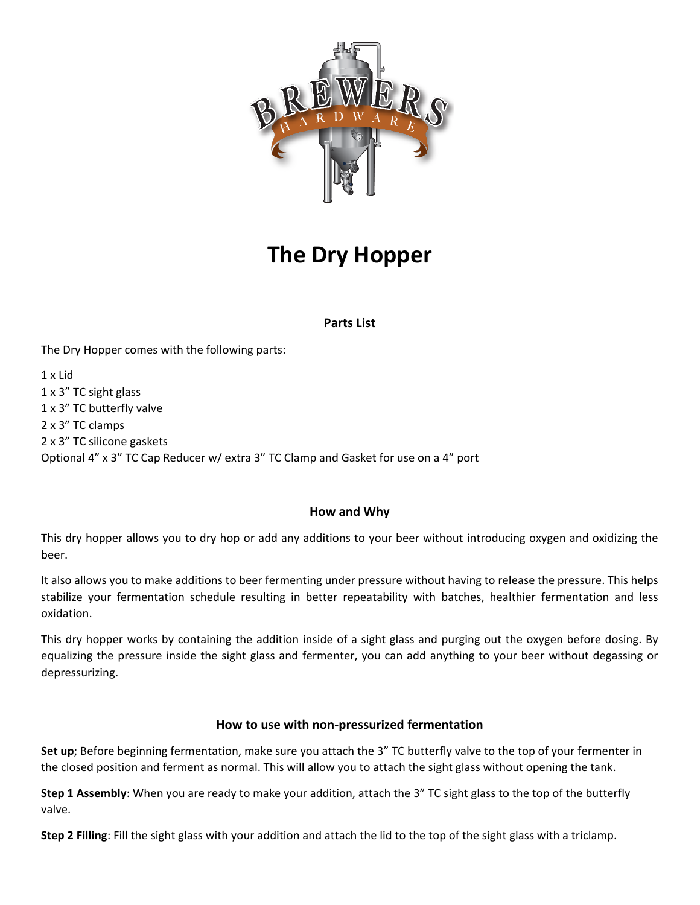

# **The Dry Hopper**

## **Parts List**

The Dry Hopper comes with the following parts:

1 x Lid 1 x 3" TC sight glass 1 x 3" TC butterfly valve 2 x 3" TC clamps 2 x 3" TC silicone gaskets Optional 4" x 3" TC Cap Reducer w/ extra 3" TC Clamp and Gasket for use on a 4" port

## **How and Why**

This dry hopper allows you to dry hop or add any additions to your beer without introducing oxygen and oxidizing the beer.

It also allows you to make additions to beer fermenting under pressure without having to release the pressure. This helps stabilize your fermentation schedule resulting in better repeatability with batches, healthier fermentation and less oxidation.

This dry hopper works by containing the addition inside of a sight glass and purging out the oxygen before dosing. By equalizing the pressure inside the sight glass and fermenter, you can add anything to your beer without degassing or depressurizing.

### **How to use with non-pressurized fermentation**

**Set up**; Before beginning fermentation, make sure you attach the 3" TC butterfly valve to the top of your fermenter in the closed position and ferment as normal. This will allow you to attach the sight glass without opening the tank.

**Step 1 Assembly**: When you are ready to make your addition, attach the 3" TC sight glass to the top of the butterfly valve.

**Step 2 Filling**: Fill the sight glass with your addition and attach the lid to the top of the sight glass with a triclamp.